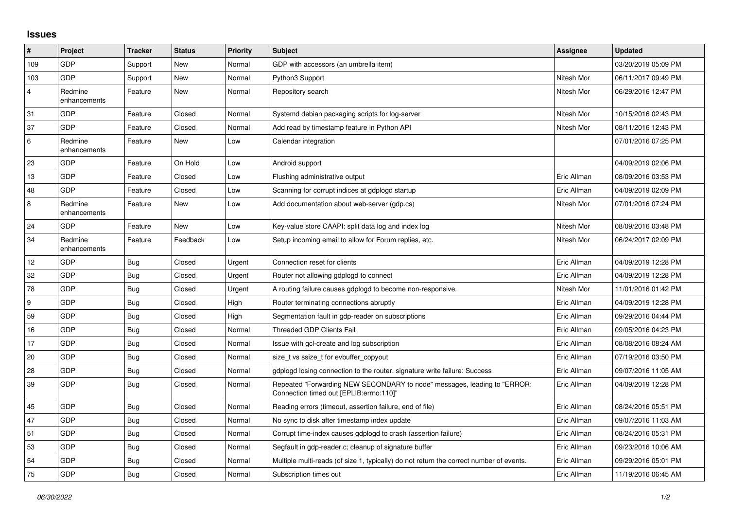## **Issues**

| #              | Project                 | <b>Tracker</b> | <b>Status</b> | <b>Priority</b> | <b>Subject</b>                                                                                                      | Assignee    | <b>Updated</b>      |
|----------------|-------------------------|----------------|---------------|-----------------|---------------------------------------------------------------------------------------------------------------------|-------------|---------------------|
| 109            | GDP                     | Support        | New           | Normal          | GDP with accessors (an umbrella item)                                                                               |             | 03/20/2019 05:09 PM |
| 103            | <b>GDP</b>              | Support        | <b>New</b>    | Normal          | Python3 Support                                                                                                     | Nitesh Mor  | 06/11/2017 09:49 PM |
| $\overline{4}$ | Redmine<br>enhancements | Feature        | New           | Normal          | Repository search                                                                                                   | Nitesh Mor  | 06/29/2016 12:47 PM |
| 31             | GDP                     | Feature        | Closed        | Normal          | Systemd debian packaging scripts for log-server                                                                     | Nitesh Mor  | 10/15/2016 02:43 PM |
| 37             | <b>GDP</b>              | Feature        | Closed        | Normal          | Add read by timestamp feature in Python API                                                                         | Nitesh Mor  | 08/11/2016 12:43 PM |
| 6              | Redmine<br>enhancements | Feature        | New           | Low             | Calendar integration                                                                                                |             | 07/01/2016 07:25 PM |
| 23             | GDP                     | Feature        | On Hold       | Low             | Android support                                                                                                     |             | 04/09/2019 02:06 PM |
| 13             | GDP                     | Feature        | Closed        | Low             | Flushing administrative output                                                                                      | Eric Allman | 08/09/2016 03:53 PM |
| 48             | GDP                     | Feature        | Closed        | Low             | Scanning for corrupt indices at gdplogd startup                                                                     | Eric Allman | 04/09/2019 02:09 PM |
| $\bf 8$        | Redmine<br>enhancements | Feature        | New           | Low             | Add documentation about web-server (gdp.cs)                                                                         | Nitesh Mor  | 07/01/2016 07:24 PM |
| 24             | <b>GDP</b>              | Feature        | New           | Low             | Key-value store CAAPI: split data log and index log                                                                 | Nitesh Mor  | 08/09/2016 03:48 PM |
| 34             | Redmine<br>enhancements | Feature        | Feedback      | Low             | Setup incoming email to allow for Forum replies, etc.                                                               | Nitesh Mor  | 06/24/2017 02:09 PM |
| 12             | GDP                     | <b>Bug</b>     | Closed        | Urgent          | Connection reset for clients                                                                                        | Eric Allman | 04/09/2019 12:28 PM |
| 32             | GDP                     | Bug            | Closed        | Urgent          | Router not allowing gdplogd to connect                                                                              | Eric Allman | 04/09/2019 12:28 PM |
| 78             | GDP                     | <b>Bug</b>     | Closed        | Urgent          | A routing failure causes gdplogd to become non-responsive.                                                          | Nitesh Mor  | 11/01/2016 01:42 PM |
| 9              | GDP                     | Bug            | Closed        | High            | Router terminating connections abruptly                                                                             | Eric Allman | 04/09/2019 12:28 PM |
| 59             | <b>GDP</b>              | Bug            | Closed        | High            | Segmentation fault in gdp-reader on subscriptions                                                                   | Eric Allman | 09/29/2016 04:44 PM |
| 16             | GDP                     | Bug            | Closed        | Normal          | Threaded GDP Clients Fail                                                                                           | Eric Allman | 09/05/2016 04:23 PM |
| 17             | <b>GDP</b>              | <b>Bug</b>     | Closed        | Normal          | Issue with gcl-create and log subscription                                                                          | Eric Allman | 08/08/2016 08:24 AM |
| 20             | GDP                     | <b>Bug</b>     | Closed        | Normal          | size t vs ssize t for evbuffer copyout                                                                              | Eric Allman | 07/19/2016 03:50 PM |
| 28             | GDP                     | <b>Bug</b>     | Closed        | Normal          | gdplogd losing connection to the router. signature write failure: Success                                           | Eric Allman | 09/07/2016 11:05 AM |
| 39             | GDP                     | Bug            | Closed        | Normal          | Repeated "Forwarding NEW SECONDARY to node" messages, leading to "ERROR:<br>Connection timed out [EPLIB:errno:110]" | Eric Allman | 04/09/2019 12:28 PM |
| 45             | GDP                     | Bug            | Closed        | Normal          | Reading errors (timeout, assertion failure, end of file)                                                            | Eric Allman | 08/24/2016 05:51 PM |
| 47             | GDP                     | Bug            | Closed        | Normal          | No sync to disk after timestamp index update                                                                        | Eric Allman | 09/07/2016 11:03 AM |
| 51             | <b>GDP</b>              | Bug            | Closed        | Normal          | Corrupt time-index causes gdplogd to crash (assertion failure)                                                      | Eric Allman | 08/24/2016 05:31 PM |
| 53             | <b>GDP</b>              | Bug            | Closed        | Normal          | Segfault in gdp-reader.c; cleanup of signature buffer                                                               | Eric Allman | 09/23/2016 10:06 AM |
| 54             | GDP                     | Bug            | Closed        | Normal          | Multiple multi-reads (of size 1, typically) do not return the correct number of events.                             | Eric Allman | 09/29/2016 05:01 PM |
| 75             | GDP                     | Bug            | Closed        | Normal          | Subscription times out                                                                                              | Eric Allman | 11/19/2016 06:45 AM |